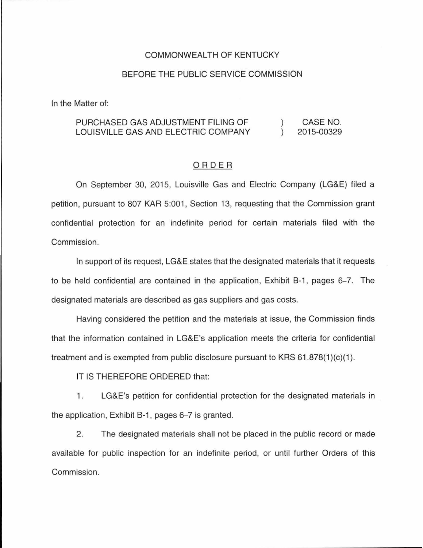## COMMONWEALTH OF KENTUCKY

## BEFORE THE PUBLIC SERVICE COMMISSION

In the Matter of:

## PURCHASED GAS ADJUSTMENT FILING OF CASE NO.  $\lambda$ LOUISVILLE GAS AND ELECTRIC COMPANY  $\lambda$ 2015-00329

## ORDER

On September 30, 2015, Louisville Gas and Electric Company (LG&E) filed a petition, pursuant to 807 KAR 5:001, Section 13, requesting that the Commission grant confidential protection for an indefinite period for certain materials filed with the Commission.

In support of its request, LG&E states that the designated materials that it requests to be held confidential are contained in the application, Exhibit B-1 , pages 6-7. The designated materials are described as gas suppliers and gas costs.

Having considered the petition and the materials at issue, the Commission finds that the information contained in LG&E's application meets the criteria for confidential treatment and is exempted from public disclosure pursuant to KRS  $61.878(1)(c)(1)$ .

IT IS THEREFORE ORDERED that:

1. LG&E's petition for confidential protection for the designated materials in the application, Exhibit B-1, pages 6-7 is granted.

2. The designated materials shall not be placed in the public record or made available for public inspection for an indefinite period, or until further Orders of this Commission.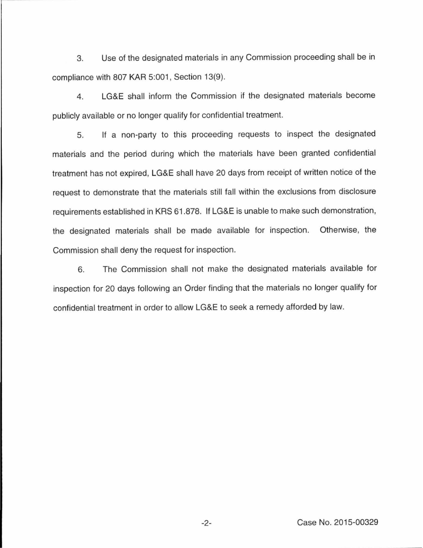3. Use of the designated materials in any Commission proceeding shall be in compliance with 807 KAR 5:001, Section 13(9).

4. LG&E shall inform the Commission if the designated materials become publicly available or no longer qualify for confidential treatment.

5. If a non-party to this proceeding requests to inspect the designated materials and the period during which the materials have been granted confidential treatment has not expired, LG&E shall have 20 days from receipt of written notice of the request to demonstrate that the materials still fall within the exclusions from disclosure requirements established in KRS 61.878. If LG&E is unable to make such demonstration, the designated materials shall be made available for inspection. Otherwise, the Commission shall deny the request for inspection.

6. The Commission shall not make the designated materials available for inspection for 20 days following an Order finding that the materials no longer qualify for confidential treatment in order to allow LG&E to seek a remedy afforded by law.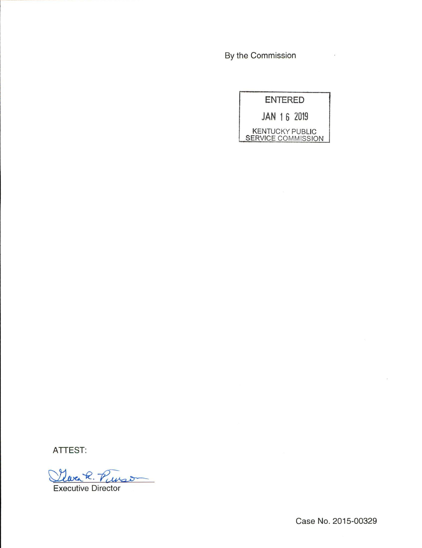By the Commission

|                                                     | <b>ENTERED</b> |  |
|-----------------------------------------------------|----------------|--|
| JAN 16 2019                                         |                |  |
| <b>KENTUCKY PUBLIC</b><br><b>SERVICE COMMISSION</b> |                |  |

 $\overline{\phantom{a}}$ 

ATTEST:

Clara R. Pinson Executive Director

Case No. 2015-00329

 $\overline{\mathcal{C}}$